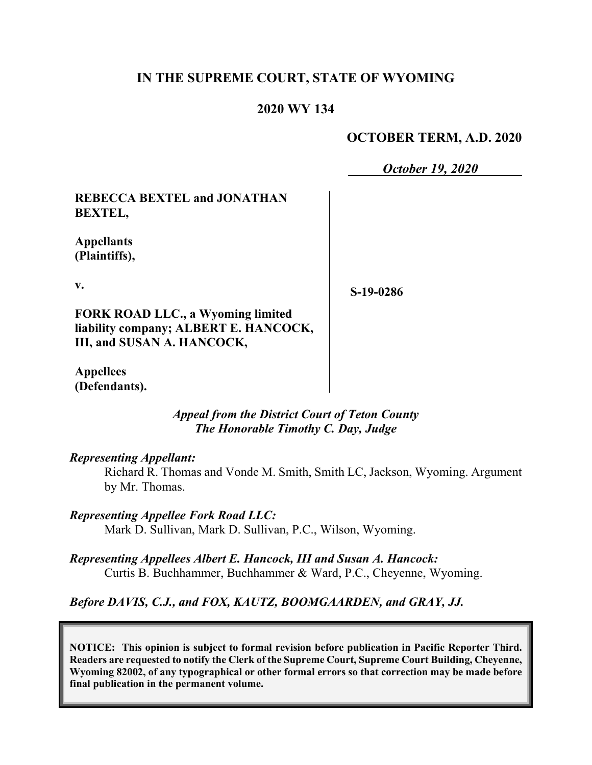## **IN THE SUPREME COURT, STATE OF WYOMING**

#### **2020 WY 134**

#### **OCTOBER TERM, A.D. 2020**

*October 19, 2020*

**REBECCA BEXTEL and JONATHAN BEXTEL,**

**Appellants (Plaintiffs),**

**v.**

**S-19-0286**

**FORK ROAD LLC., a Wyoming limited liability company; ALBERT E. HANCOCK, III, and SUSAN A. HANCOCK,**

**Appellees (Defendants).**

> *Appeal from the District Court of Teton County The Honorable Timothy C. Day, Judge*

#### *Representing Appellant:*

Richard R. Thomas and Vonde M. Smith, Smith LC, Jackson, Wyoming. Argument by Mr. Thomas.

*Representing Appellee Fork Road LLC:* Mark D. Sullivan, Mark D. Sullivan, P.C., Wilson, Wyoming.

*Representing Appellees Albert E. Hancock, III and Susan A. Hancock:* Curtis B. Buchhammer, Buchhammer & Ward, P.C., Cheyenne, Wyoming.

*Before DAVIS, C.J., and FOX, KAUTZ, BOOMGAARDEN, and GRAY, JJ.*

**NOTICE: This opinion is subject to formal revision before publication in Pacific Reporter Third. Readers are requested to notify the Clerk of the Supreme Court, Supreme Court Building, Cheyenne, Wyoming 82002, of any typographical or other formal errors so that correction may be made before final publication in the permanent volume.**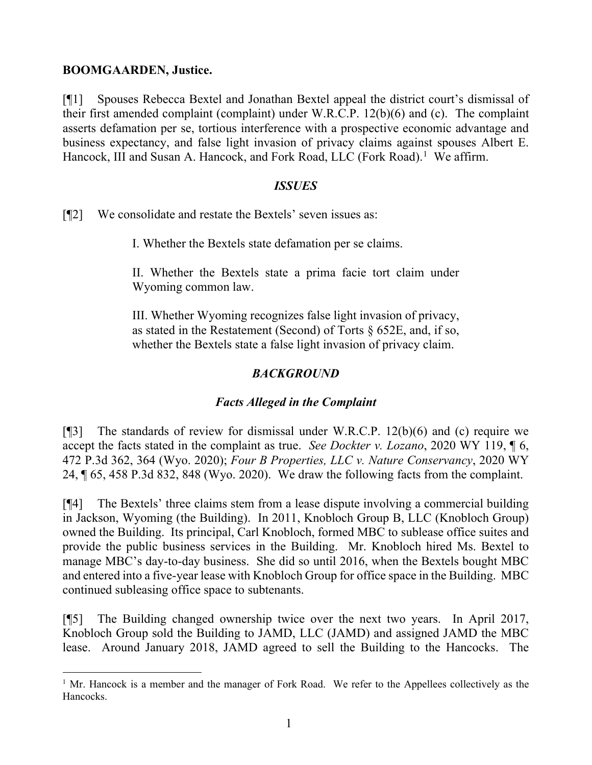#### **BOOMGAARDEN, Justice.**

[¶1] Spouses Rebecca Bextel and Jonathan Bextel appeal the district court's dismissal of their first amended complaint (complaint) under W.R.C.P. 12(b)(6) and (c). The complaint asserts defamation per se, tortious interference with a prospective economic advantage and business expectancy, and false light invasion of privacy claims against spouses Albert E. Hancock, III and Susan A. Hancock, and Fork Road, LLC (Fork Road).<sup>[1](#page-1-0)</sup> We affirm.

#### *ISSUES*

[¶2] We consolidate and restate the Bextels' seven issues as:

I. Whether the Bextels state defamation per se claims.

II. Whether the Bextels state a prima facie tort claim under Wyoming common law.

III. Whether Wyoming recognizes false light invasion of privacy, as stated in the Restatement (Second) of Torts § 652E, and, if so, whether the Bextels state a false light invasion of privacy claim.

## *BACKGROUND*

## *Facts Alleged in the Complaint*

[¶3] The standards of review for dismissal under W.R.C.P. 12(b)(6) and (c) require we accept the facts stated in the complaint as true. *See Dockter v. Lozano*, 2020 WY 119, ¶ 6, 472 P.3d 362, 364 (Wyo. 2020); *Four B Properties, LLC v. Nature Conservancy*, 2020 WY 24, ¶ 65, 458 P.3d 832, 848 (Wyo. 2020). We draw the following facts from the complaint.

[¶4] The Bextels' three claims stem from a lease dispute involving a commercial building in Jackson, Wyoming (the Building). In 2011, Knobloch Group B, LLC (Knobloch Group) owned the Building. Its principal, Carl Knobloch, formed MBC to sublease office suites and provide the public business services in the Building. Mr. Knobloch hired Ms. Bextel to manage MBC's day-to-day business. She did so until 2016, when the Bextels bought MBC and entered into a five-year lease with Knobloch Group for office space in the Building. MBC continued subleasing office space to subtenants.

[¶5] The Building changed ownership twice over the next two years. In April 2017, Knobloch Group sold the Building to JAMD, LLC (JAMD) and assigned JAMD the MBC lease. Around January 2018, JAMD agreed to sell the Building to the Hancocks. The

<span id="page-1-0"></span><sup>&</sup>lt;sup>1</sup> Mr. Hancock is a member and the manager of Fork Road. We refer to the Appellees collectively as the Hancocks.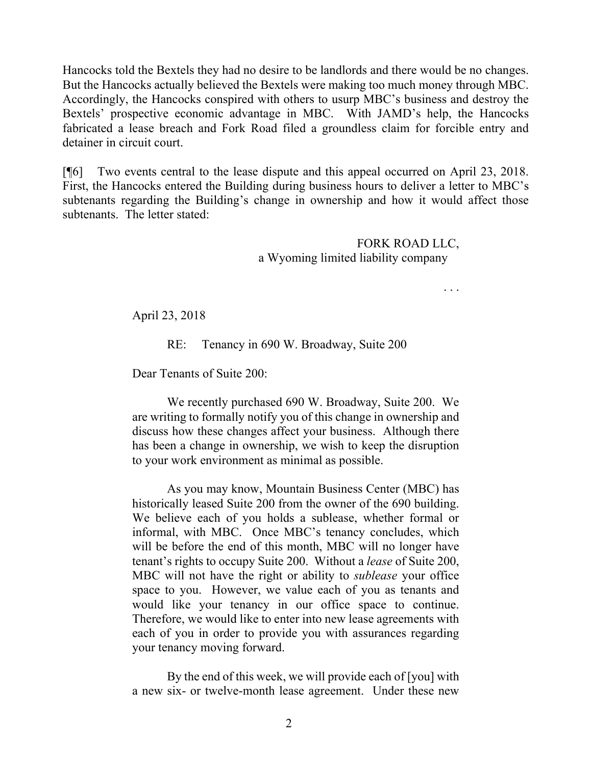Hancocks told the Bextels they had no desire to be landlords and there would be no changes. But the Hancocks actually believed the Bextels were making too much money through MBC. Accordingly, the Hancocks conspired with others to usurp MBC's business and destroy the Bextels' prospective economic advantage in MBC. With JAMD's help, the Hancocks fabricated a lease breach and Fork Road filed a groundless claim for forcible entry and detainer in circuit court.

[¶6] Two events central to the lease dispute and this appeal occurred on April 23, 2018. First, the Hancocks entered the Building during business hours to deliver a letter to MBC's subtenants regarding the Building's change in ownership and how it would affect those subtenants. The letter stated:

> FORK ROAD LLC, a Wyoming limited liability company

> > . . .

April 23, 2018

RE: Tenancy in 690 W. Broadway, Suite 200

Dear Tenants of Suite 200:

We recently purchased 690 W. Broadway, Suite 200. We are writing to formally notify you of this change in ownership and discuss how these changes affect your business. Although there has been a change in ownership, we wish to keep the disruption to your work environment as minimal as possible.

As you may know, Mountain Business Center (MBC) has historically leased Suite 200 from the owner of the 690 building. We believe each of you holds a sublease, whether formal or informal, with MBC. Once MBC's tenancy concludes, which will be before the end of this month, MBC will no longer have tenant's rights to occupy Suite 200. Without a *lease* of Suite 200, MBC will not have the right or ability to *sublease* your office space to you. However, we value each of you as tenants and would like your tenancy in our office space to continue. Therefore, we would like to enter into new lease agreements with each of you in order to provide you with assurances regarding your tenancy moving forward.

By the end of this week, we will provide each of [you] with a new six- or twelve-month lease agreement. Under these new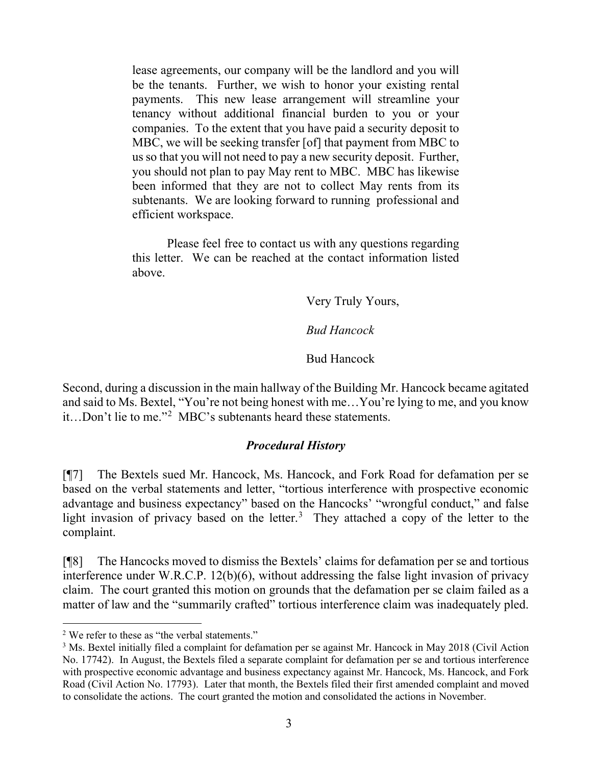lease agreements, our company will be the landlord and you will be the tenants. Further, we wish to honor your existing rental payments. This new lease arrangement will streamline your tenancy without additional financial burden to you or your companies. To the extent that you have paid a security deposit to MBC, we will be seeking transfer [of] that payment from MBC to us so that you will not need to pay a new security deposit. Further, you should not plan to pay May rent to MBC. MBC has likewise been informed that they are not to collect May rents from its subtenants. We are looking forward to running professional and efficient workspace.

Please feel free to contact us with any questions regarding this letter. We can be reached at the contact information listed above.

Very Truly Yours,

*Bud Hancock*

Bud Hancock

Second, during a discussion in the main hallway of the Building Mr. Hancock became agitated and said to Ms. Bextel, "You're not being honest with me…You're lying to me, and you know it…Don't lie to me."[2](#page-3-0) MBC's subtenants heard these statements.

## *Procedural History*

[¶7] The Bextels sued Mr. Hancock, Ms. Hancock, and Fork Road for defamation per se based on the verbal statements and letter, "tortious interference with prospective economic advantage and business expectancy" based on the Hancocks' "wrongful conduct," and false light invasion of privacy based on the letter.<sup>[3](#page-3-1)</sup> They attached a copy of the letter to the complaint.

[¶8] The Hancocks moved to dismiss the Bextels' claims for defamation per se and tortious interference under W.R.C.P. 12(b)(6), without addressing the false light invasion of privacy claim. The court granted this motion on grounds that the defamation per se claim failed as a matter of law and the "summarily crafted" tortious interference claim was inadequately pled.

<span id="page-3-0"></span><sup>&</sup>lt;sup>2</sup> We refer to these as "the verbal statements."

<span id="page-3-1"></span><sup>&</sup>lt;sup>3</sup> Ms. Bextel initially filed a complaint for defamation per se against Mr. Hancock in May 2018 (Civil Action No. 17742). In August, the Bextels filed a separate complaint for defamation per se and tortious interference with prospective economic advantage and business expectancy against Mr. Hancock, Ms. Hancock, and Fork Road (Civil Action No. 17793). Later that month, the Bextels filed their first amended complaint and moved to consolidate the actions. The court granted the motion and consolidated the actions in November.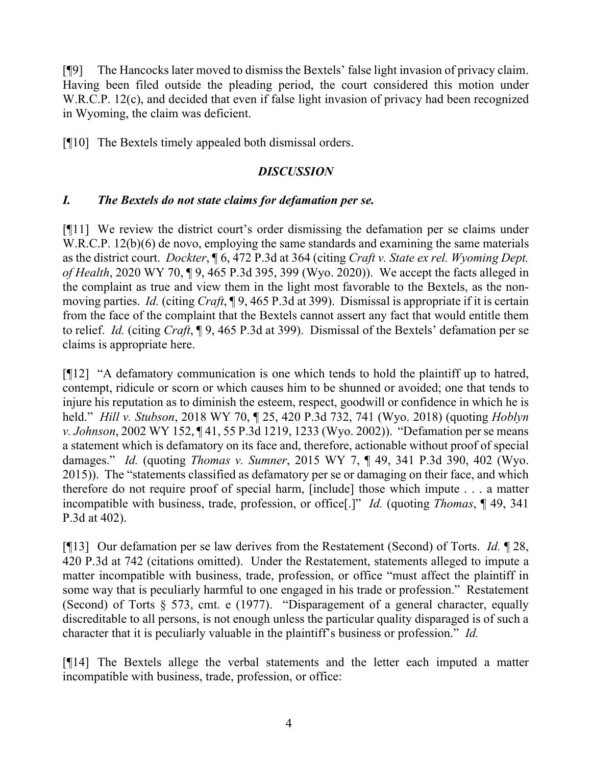[¶9] The Hancocks later moved to dismiss the Bextels' false light invasion of privacy claim. Having been filed outside the pleading period, the court considered this motion under W.R.C.P. 12(c), and decided that even if false light invasion of privacy had been recognized in Wyoming, the claim was deficient.

[¶10] The Bextels timely appealed both dismissal orders.

## *DISCUSSION*

## *I. The Bextels do not state claims for defamation per se.*

[¶11] We review the district court's order dismissing the defamation per se claims under W.R.C.P. 12(b)(6) de novo, employing the same standards and examining the same materials as the district court. *Dockter*, ¶ 6, 472 P.3d at 364 (citing *Craft v. State ex rel. Wyoming Dept. of Health*, 2020 WY 70, ¶ 9, 465 P.3d 395, 399 (Wyo. 2020)). We accept the facts alleged in the complaint as true and view them in the light most favorable to the Bextels, as the nonmoving parties. *Id.* (citing *Craft*, ¶ 9, 465 P.3d at 399). Dismissal is appropriate if it is certain from the face of the complaint that the Bextels cannot assert any fact that would entitle them to relief. *Id.* (citing *Craft*, ¶ 9, 465 P.3d at 399). Dismissal of the Bextels' defamation per se claims is appropriate here.

[¶12] "A defamatory communication is one which tends to hold the plaintiff up to hatred, contempt, ridicule or scorn or which causes him to be shunned or avoided; one that tends to injure his reputation as to diminish the esteem, respect, goodwill or confidence in which he is held." *Hill v. Stubson*, 2018 WY 70, ¶ 25, 420 P.3d 732, 741 (Wyo. 2018) (quoting *Hoblyn v. Johnson*, 2002 WY 152, ¶ 41, 55 P.3d 1219, 1233 (Wyo. 2002)). "Defamation per se means a statement which is defamatory on its face and, therefore, actionable without proof of special damages." *Id.* (quoting *Thomas v. Sumner*, 2015 WY 7, ¶ 49, 341 P.3d 390, 402 (Wyo. 2015)). The "statements classified as defamatory per se or damaging on their face, and which therefore do not require proof of special harm, [include] those which impute . . . a matter incompatible with business, trade, profession, or office[.]" *Id.* (quoting *Thomas*, ¶ 49, 341 P.3d at 402).

[¶13] Our defamation per se law derives from the Restatement (Second) of Torts. *Id.* ¶ 28, 420 P.3d at 742 (citations omitted). Under the Restatement, statements alleged to impute a matter incompatible with business, trade, profession, or office "must affect the plaintiff in some way that is peculiarly harmful to one engaged in his trade or profession." Restatement (Second) of Torts § 573, cmt. e (1977). "Disparagement of a general character, equally discreditable to all persons, is not enough unless the particular quality disparaged is of such a character that it is peculiarly valuable in the plaintiff's business or profession." *Id.*

[¶14] The Bextels allege the verbal statements and the letter each imputed a matter incompatible with business, trade, profession, or office: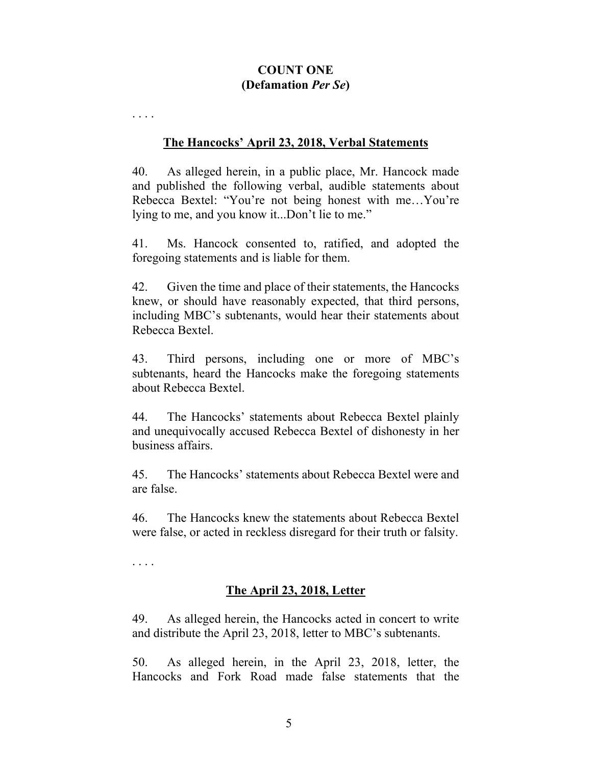### **COUNT ONE (Defamation** *Per Se***)**

. . . .

#### **The Hancocks' April 23, 2018, Verbal Statements**

40. As alleged herein, in a public place, Mr. Hancock made and published the following verbal, audible statements about Rebecca Bextel: "You're not being honest with me…You're lying to me, and you know it...Don't lie to me."

41. Ms. Hancock consented to, ratified, and adopted the foregoing statements and is liable for them.

42. Given the time and place of their statements, the Hancocks knew, or should have reasonably expected, that third persons, including MBC's subtenants, would hear their statements about Rebecca Bextel.

43. Third persons, including one or more of MBC's subtenants, heard the Hancocks make the foregoing statements about Rebecca Bextel.

44. The Hancocks' statements about Rebecca Bextel plainly and unequivocally accused Rebecca Bextel of dishonesty in her business affairs.

45. The Hancocks' statements about Rebecca Bextel were and are false.

46. The Hancocks knew the statements about Rebecca Bextel were false, or acted in reckless disregard for their truth or falsity.

. . . .

## **The April 23, 2018, Letter**

49. As alleged herein, the Hancocks acted in concert to write and distribute the April 23, 2018, letter to MBC's subtenants.

50. As alleged herein, in the April 23, 2018, letter, the Hancocks and Fork Road made false statements that the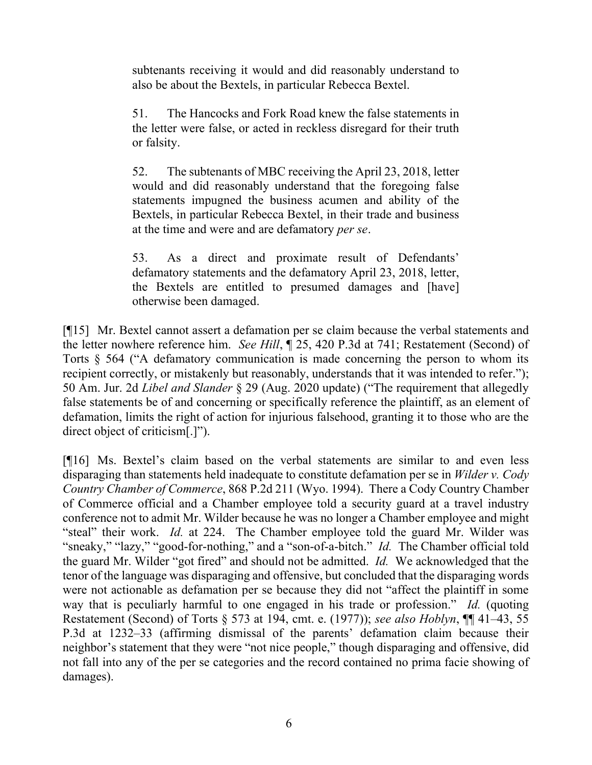subtenants receiving it would and did reasonably understand to also be about the Bextels, in particular Rebecca Bextel.

51. The Hancocks and Fork Road knew the false statements in the letter were false, or acted in reckless disregard for their truth or falsity.

52. The subtenants of MBC receiving the April 23, 2018, letter would and did reasonably understand that the foregoing false statements impugned the business acumen and ability of the Bextels, in particular Rebecca Bextel, in their trade and business at the time and were and are defamatory *per se*.

53. As a direct and proximate result of Defendants' defamatory statements and the defamatory April 23, 2018, letter, the Bextels are entitled to presumed damages and [have] otherwise been damaged.

[¶15] Mr. Bextel cannot assert a defamation per se claim because the verbal statements and the letter nowhere reference him. *See Hill*, ¶ 25, 420 P.3d at 741; Restatement (Second) of Torts § 564 ("A defamatory communication is made concerning the person to whom its recipient correctly, or mistakenly but reasonably, understands that it was intended to refer."); 50 Am. Jur. 2d *Libel and Slander* § 29 (Aug. 2020 update) ("The requirement that allegedly false statements be of and concerning or specifically reference the plaintiff, as an element of defamation, limits the right of action for injurious falsehood, granting it to those who are the direct object of criticism[.]").

[¶16] Ms. Bextel's claim based on the verbal statements are similar to and even less disparaging than statements held inadequate to constitute defamation per se in *Wilder v. Cody Country Chamber of Commerce*, 868 P.2d 211 (Wyo. 1994). There a Cody Country Chamber of Commerce official and a Chamber employee told a security guard at a travel industry conference not to admit Mr. Wilder because he was no longer a Chamber employee and might "steal" their work. *Id.* at 224. The Chamber employee told the guard Mr. Wilder was "sneaky," "lazy," "good-for-nothing," and a "son-of-a-bitch." *Id.* The Chamber official told the guard Mr. Wilder "got fired" and should not be admitted. *Id.* We acknowledged that the tenor of the language was disparaging and offensive, but concluded that the disparaging words were not actionable as defamation per se because they did not "affect the plaintiff in some way that is peculiarly harmful to one engaged in his trade or profession." *Id.* (quoting Restatement (Second) of Torts § 573 at 194, cmt. e. (1977)); *see also Hoblyn*, ¶¶ 41–43, 55 P.3d at 1232–33 (affirming dismissal of the parents' defamation claim because their neighbor's statement that they were "not nice people," though disparaging and offensive, did not fall into any of the per se categories and the record contained no prima facie showing of damages).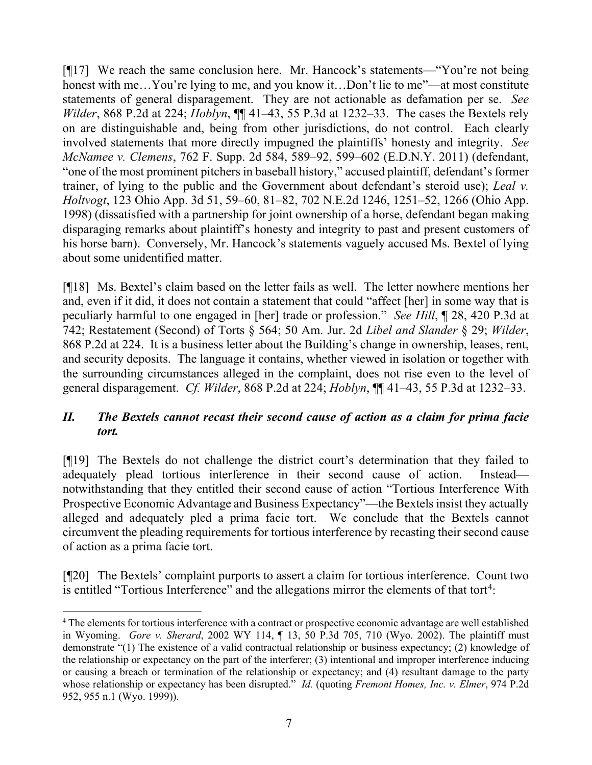[¶17] We reach the same conclusion here. Mr. Hancock's statements—"You're not being honest with me...You're lying to me, and you know it...Don't lie to me"—at most constitute statements of general disparagement. They are not actionable as defamation per se. *See Wilder*, 868 P.2d at 224; *Hoblyn*, ¶¶ 41–43, 55 P.3d at 1232–33. The cases the Bextels rely on are distinguishable and, being from other jurisdictions, do not control. Each clearly involved statements that more directly impugned the plaintiffs' honesty and integrity. *See McNamee v. Clemens*, 762 F. Supp. 2d 584, 589–92, 599–602 (E.D.N.Y. 2011) (defendant, "one of the most prominent pitchers in baseball history," accused plaintiff, defendant's former trainer, of lying to the public and the Government about defendant's steroid use); *Leal v. Holtvogt*, 123 Ohio App. 3d 51, 59–60, 81–82, 702 N.E.2d 1246, 1251–52, 1266 (Ohio App. 1998) (dissatisfied with a partnership for joint ownership of a horse, defendant began making disparaging remarks about plaintiff's honesty and integrity to past and present customers of his horse barn). Conversely, Mr. Hancock's statements vaguely accused Ms. Bextel of lying about some unidentified matter.

[¶18] Ms. Bextel's claim based on the letter fails as well. The letter nowhere mentions her and, even if it did, it does not contain a statement that could "affect [her] in some way that is peculiarly harmful to one engaged in [her] trade or profession." *See Hill*, ¶ 28, 420 P.3d at 742; Restatement (Second) of Torts § 564; 50 Am. Jur. 2d *Libel and Slander* § 29; *Wilder*, 868 P.2d at 224. It is a business letter about the Building's change in ownership, leases, rent, and security deposits. The language it contains, whether viewed in isolation or together with the surrounding circumstances alleged in the complaint, does not rise even to the level of general disparagement. *Cf. Wilder*, 868 P.2d at 224; *Hoblyn*, ¶¶ 41–43, 55 P.3d at 1232–33.

## *II. The Bextels cannot recast their second cause of action as a claim for prima facie tort.*

[¶19] The Bextels do not challenge the district court's determination that they failed to adequately plead tortious interference in their second cause of action. Instead notwithstanding that they entitled their second cause of action "Tortious Interference With Prospective Economic Advantage and Business Expectancy"—the Bextels insist they actually alleged and adequately pled a prima facie tort. We conclude that the Bextels cannot circumvent the pleading requirements for tortious interference by recasting their second cause of action as a prima facie tort.

[¶20] The Bextels' complaint purports to assert a claim for tortious interference. Count two is entitled "Tortious Interference" and the allegations mirror the elements of that tort<sup>[4](#page-7-0)</sup>:

<span id="page-7-0"></span><sup>&</sup>lt;sup>4</sup> The elements for tortious interference with a contract or prospective economic advantage are well established in Wyoming. *Gore v. Sherard*, 2002 WY 114, ¶ 13, 50 P.3d 705, 710 (Wyo. 2002). The plaintiff must demonstrate "(1) The existence of a valid contractual relationship or business expectancy; (2) knowledge of the relationship or expectancy on the part of the interferer; (3) intentional and improper interference inducing or causing a breach or termination of the relationship or expectancy; and (4) resultant damage to the party whose relationship or expectancy has been disrupted." *Id.* (quoting *Fremont Homes, Inc. v. Elmer*, 974 P.2d 952, 955 n.1 (Wyo. 1999)).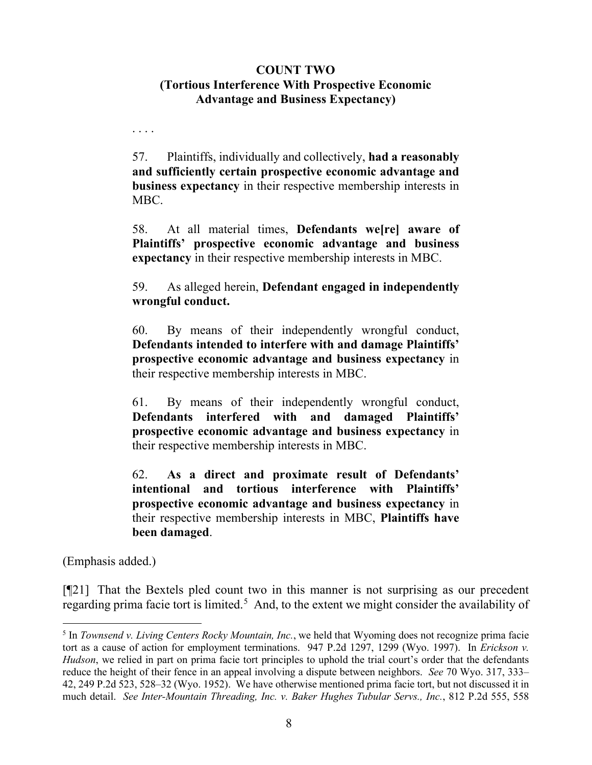## **COUNT TWO (Tortious Interference With Prospective Economic Advantage and Business Expectancy)**

57. Plaintiffs, individually and collectively, **had a reasonably and sufficiently certain prospective economic advantage and business expectancy** in their respective membership interests in MBC.

58. At all material times, **Defendants we[re] aware of Plaintiffs' prospective economic advantage and business expectancy** in their respective membership interests in MBC.

59. As alleged herein, **Defendant engaged in independently wrongful conduct.**

60. By means of their independently wrongful conduct, **Defendants intended to interfere with and damage Plaintiffs' prospective economic advantage and business expectancy** in their respective membership interests in MBC.

61. By means of their independently wrongful conduct, **Defendants interfered with and damaged Plaintiffs' prospective economic advantage and business expectancy** in their respective membership interests in MBC.

62. **As a direct and proximate result of Defendants' intentional and tortious interference with Plaintiffs' prospective economic advantage and business expectancy** in their respective membership interests in MBC, **Plaintiffs have been damaged**.

(Emphasis added.)

. . . .

[¶21] That the Bextels pled count two in this manner is not surprising as our precedent regarding prima facie tort is limited.<sup>[5](#page-8-0)</sup> And, to the extent we might consider the availability of

<span id="page-8-0"></span><sup>5</sup> In *Townsend v. Living Centers Rocky Mountain, Inc.*, we held that Wyoming does not recognize prima facie tort as a cause of action for employment terminations. 947 P.2d 1297, 1299 (Wyo. 1997). In *Erickson v. Hudson*, we relied in part on prima facie tort principles to uphold the trial court's order that the defendants reduce the height of their fence in an appeal involving a dispute between neighbors. *See* 70 Wyo. 317, 333– 42, 249 P.2d 523, 528–32 (Wyo. 1952). We have otherwise mentioned prima facie tort, but not discussed it in much detail. *See Inter-Mountain Threading, Inc. v. Baker Hughes Tubular Servs., Inc.*, 812 P.2d 555, 558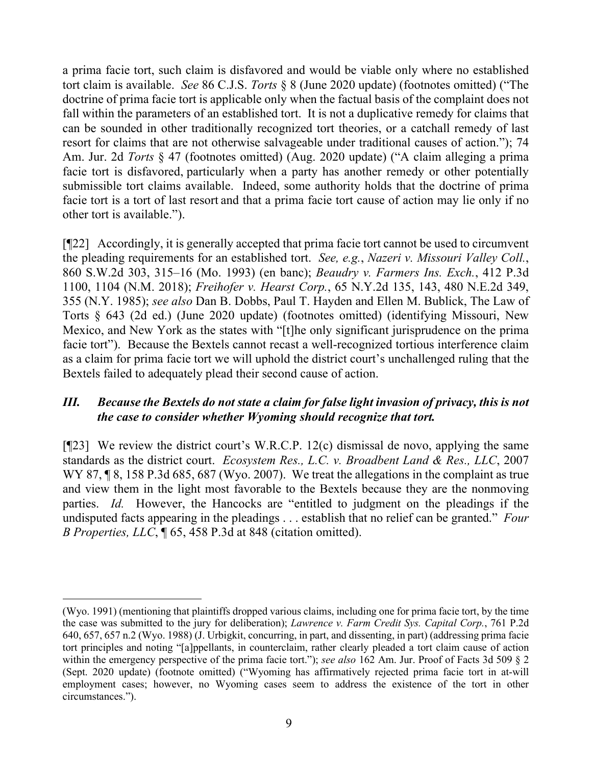a prima facie tort, such claim is disfavored and would be viable only where no established tort claim is available. *See* 86 C.J.S. *Torts* § 8 (June 2020 update) (footnotes omitted) ("The doctrine of prima facie tort is applicable only when the factual basis of the complaint does not fall within the parameters of an established tort. It is not a duplicative remedy for claims that can be sounded in other traditionally recognized tort theories, or a catchall remedy of last resort for claims that are not otherwise salvageable under traditional causes of action."); 74 Am. Jur. 2d *Torts* § 47 (footnotes omitted) (Aug. 2020 update) ("A claim alleging a prima facie tort is disfavored, particularly when a party has another remedy or other potentially submissible tort claims available. Indeed, some authority holds that the doctrine of prima facie tort is a tort of last resort and that a prima facie tort cause of action may lie only if no other tort is available.").

[¶22] Accordingly, it is generally accepted that prima facie tort cannot be used to circumvent the pleading requirements for an established tort. *See, e.g.*, *Nazeri v. Missouri Valley Coll.*, 860 S.W.2d 303, 315–16 (Mo. 1993) (en banc); *Beaudry v. Farmers Ins. Exch.*, 412 P.3d 1100, 1104 (N.M. 2018); *Freihofer v. Hearst Corp.*, 65 N.Y.2d 135, 143, 480 N.E.2d 349, 355 (N.Y. 1985); *see also* Dan B. Dobbs, Paul T. Hayden and Ellen M. Bublick, The Law of Torts § 643 (2d ed.) (June 2020 update) (footnotes omitted) (identifying Missouri, New Mexico, and New York as the states with "[t]he only significant jurisprudence on the prima facie tort"). Because the Bextels cannot recast a well-recognized tortious interference claim as a claim for prima facie tort we will uphold the district court's unchallenged ruling that the Bextels failed to adequately plead their second cause of action.

## *III. Because the Bextels do not state a claim for false light invasion of privacy, this is not the case to consider whether Wyoming should recognize that tort.*

[¶23] We review the district court's W.R.C.P. 12(c) dismissal de novo, applying the same standards as the district court. *Ecosystem Res., L.C. v. Broadbent Land & Res., LLC*, 2007 WY 87,  $\sqrt{8}$ , 158 P.3d 685, 687 (Wyo. 2007). We treat the allegations in the complaint as true and view them in the light most favorable to the Bextels because they are the nonmoving parties. *Id.* However, the Hancocks are "entitled to judgment on the pleadings if the undisputed facts appearing in the pleadings . . . establish that no relief can be granted." *Four B Properties, LLC*, ¶ 65, 458 P.3d at 848 (citation omitted).

<sup>(</sup>Wyo. 1991) (mentioning that plaintiffs dropped various claims, including one for prima facie tort, by the time the case was submitted to the jury for deliberation); *Lawrence v. Farm Credit Sys. Capital Corp.*, 761 P.2d 640, 657, 657 n.2 (Wyo. 1988) (J. Urbigkit, concurring, in part, and dissenting, in part) (addressing prima facie tort principles and noting "[a]ppellants, in counterclaim, rather clearly pleaded a tort claim cause of action within the emergency perspective of the prima facie tort."); *see also* 162 Am. Jur. Proof of Facts 3d 509 § 2 (Sept. 2020 update) (footnote omitted) ("Wyoming has affirmatively rejected prima facie tort in at-will employment cases; however, no Wyoming cases seem to address the existence of the tort in other circumstances.").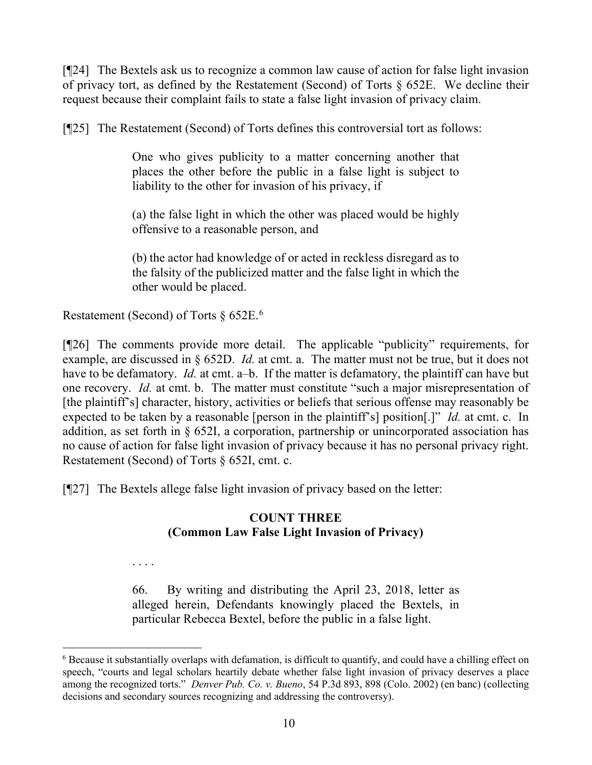[¶24] The Bextels ask us to recognize a common law cause of action for false light invasion of privacy tort, as defined by the Restatement (Second) of Torts § 652E. We decline their request because their complaint fails to state a false light invasion of privacy claim.

[¶25] The Restatement (Second) of Torts defines this controversial tort as follows:

One who gives publicity to a matter concerning another that places the other before the public in a false light is subject to liability to the other for invasion of his privacy, if

(a) the false light in which the other was placed would be highly offensive to a reasonable person, and

(b) the actor had knowledge of or acted in reckless disregard as to the falsity of the publicized matter and the false light in which the other would be placed.

Restatement (Second) of Torts § [6](#page-10-0)52E.<sup>6</sup>

[¶26] The comments provide more detail. The applicable "publicity" requirements, for example, are discussed in § 652D. *Id.* at cmt. a. The matter must not be true, but it does not have to be defamatory. *Id.* at cmt. a–b. If the matter is defamatory, the plaintiff can have but one recovery. *Id.* at cmt. b. The matter must constitute "such a major misrepresentation of [the plaintiff's] character, history, activities or beliefs that serious offense may reasonably be expected to be taken by a reasonable [person in the plaintiff's] position[.]" *Id.* at cmt. c. In addition, as set forth in § 652I, a corporation, partnership or unincorporated association has no cause of action for false light invasion of privacy because it has no personal privacy right. Restatement (Second) of Torts § 652I, cmt. c.

[¶27] The Bextels allege false light invasion of privacy based on the letter:

# **COUNT THREE (Common Law False Light Invasion of Privacy)**

. . . .

66. By writing and distributing the April 23, 2018, letter as alleged herein, Defendants knowingly placed the Bextels, in particular Rebecca Bextel, before the public in a false light.

<span id="page-10-0"></span><sup>&</sup>lt;sup>6</sup> Because it substantially overlaps with defamation, is difficult to quantify, and could have a chilling effect on speech, "courts and legal scholars heartily debate whether false light invasion of privacy deserves a place among the recognized torts." *Denver Pub. Co. v. Bueno*, 54 P.3d 893, 898 (Colo. 2002) (en banc) (collecting decisions and secondary sources recognizing and addressing the controversy).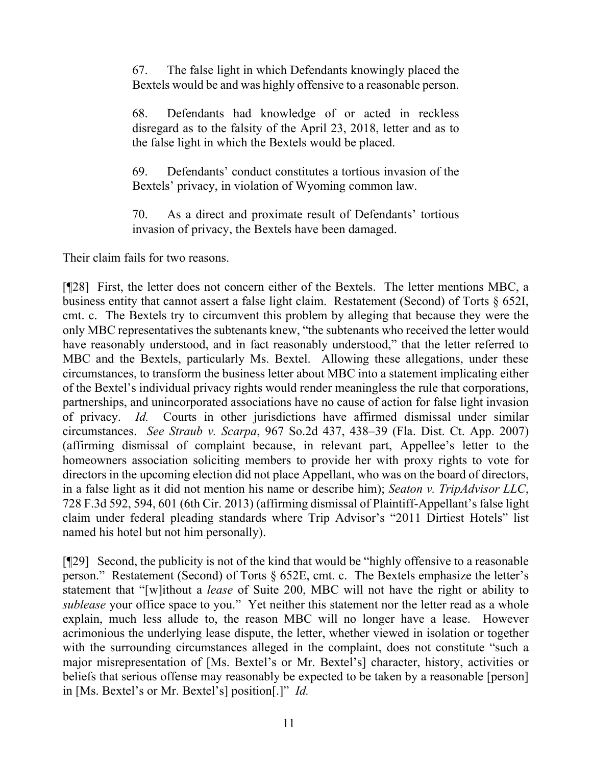67. The false light in which Defendants knowingly placed the Bextels would be and was highly offensive to a reasonable person.

68. Defendants had knowledge of or acted in reckless disregard as to the falsity of the April 23, 2018, letter and as to the false light in which the Bextels would be placed.

69. Defendants' conduct constitutes a tortious invasion of the Bextels' privacy, in violation of Wyoming common law.

70. As a direct and proximate result of Defendants' tortious invasion of privacy, the Bextels have been damaged.

Their claim fails for two reasons.

[¶28] First, the letter does not concern either of the Bextels. The letter mentions MBC, a business entity that cannot assert a false light claim. Restatement (Second) of Torts § 652I, cmt. c. The Bextels try to circumvent this problem by alleging that because they were the only MBC representatives the subtenants knew, "the subtenants who received the letter would have reasonably understood, and in fact reasonably understood," that the letter referred to MBC and the Bextels, particularly Ms. Bextel. Allowing these allegations, under these circumstances, to transform the business letter about MBC into a statement implicating either of the Bextel's individual privacy rights would render meaningless the rule that corporations, partnerships, and unincorporated associations have no cause of action for false light invasion of privacy. *Id.* Courts in other jurisdictions have affirmed dismissal under similar circumstances. *See Straub v. Scarpa*, 967 So.2d 437, 438–39 (Fla. Dist. Ct. App. 2007) (affirming dismissal of complaint because, in relevant part, Appellee's letter to the homeowners association soliciting members to provide her with proxy rights to vote for directors in the upcoming election did not place Appellant, who was on the board of directors, in a false light as it did not mention his name or describe him); *Seaton v. TripAdvisor LLC*, 728 F.3d 592, 594, 601 (6th Cir. 2013) (affirming dismissal of Plaintiff-Appellant's false light claim under federal pleading standards where Trip Advisor's "2011 Dirtiest Hotels" list named his hotel but not him personally).

[¶29] Second, the publicity is not of the kind that would be "highly offensive to a reasonable person." Restatement (Second) of Torts § 652E, cmt. c. The Bextels emphasize the letter's statement that "[w]ithout a *lease* of Suite 200, MBC will not have the right or ability to *sublease* your office space to you." Yet neither this statement nor the letter read as a whole explain, much less allude to, the reason MBC will no longer have a lease. However acrimonious the underlying lease dispute, the letter, whether viewed in isolation or together with the surrounding circumstances alleged in the complaint, does not constitute "such a major misrepresentation of [Ms. Bextel's or Mr. Bextel's] character, history, activities or beliefs that serious offense may reasonably be expected to be taken by a reasonable [person] in [Ms. Bextel's or Mr. Bextel's] position[.]" *Id.*